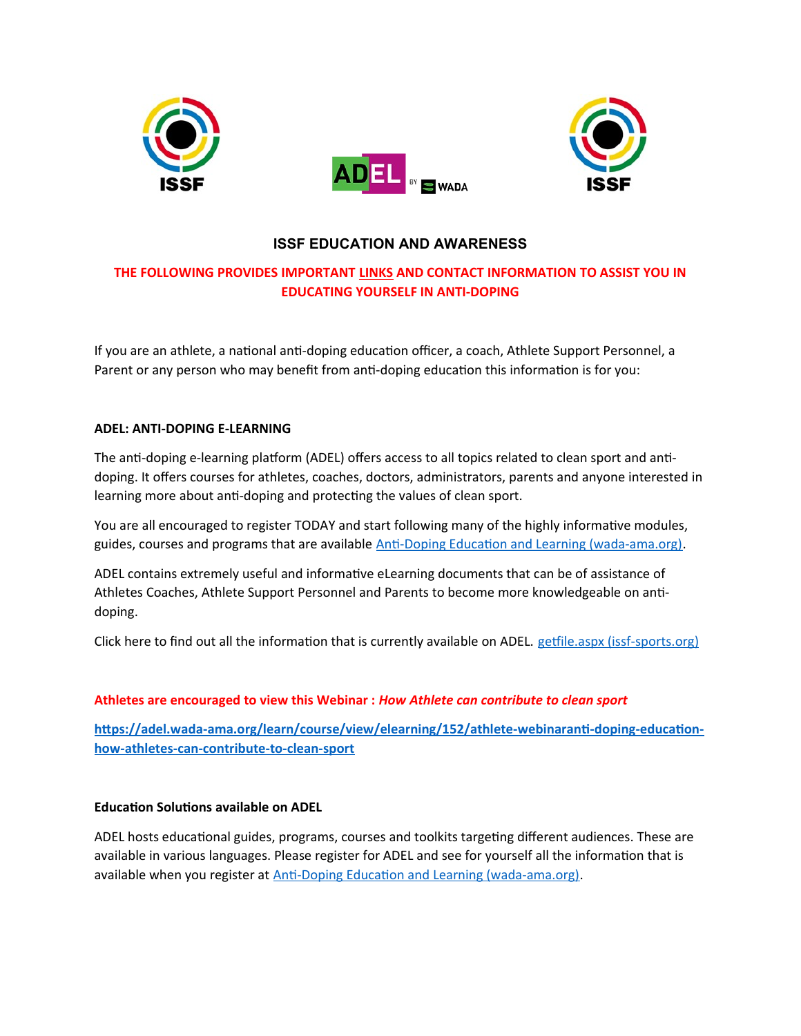





# **ISSF EDUCATION AND AWARENESS**

## **THE FOLLOWING PROVIDES IMPORTANT LINKS AND CONTACT INFORMATION TO ASSIST YOU IN EDUCATING YOURSELF IN ANTI-DOPING**

If you are an athlete, a national anti-doping education officer, a coach, Athlete Support Personnel, a Parent or any person who may benefit from anti-doping education this information is for you:

### **ADEL: ANTI-DOPING E-LEARNING**

The anti-doping e-learning platform (ADEL) offers access to all topics related to clean sport and antidoping. It offers courses for athletes, coaches, doctors, administrators, parents and anyone interested in learning more about anti-doping and protecting the values of clean sport.

You are all encouraged to register TODAY and start following many of the highly informative modules, guides, courses and programs that are available [Anti-Doping Education and Learning \(wada-ama.org\)](https://adel.wada-ama.org/learn).

ADEL contains extremely useful and informative eLearning documents that can be of assistance of Athletes Coaches, Athlete Support Personnel and Parents to become more knowledgeable on antidoping.

Click here to find out all the information that is currently available on ADEL. [getfile.aspx \(issf-sports.org\)](https://www.issf-sports.org/getfile.aspx?mod=docf&pane=1&inst=498&file=2.WADA_Education_Brochure.pdf)

### **Athletes are encouraged to view this Webinar :** *How Athlete can contribute to clean sport*

**[https://adel.wada-ama.org/learn/course/view/elearning/152/athlete-webinaranti-doping-education](https://adel.wada-ama.org/learn/course/view/elearning/152/athlete-webinaranti-doping-education-how-athletes-can-contribute-to-clean-sport)[how-athletes-can-contribute-to-clean-sport](https://adel.wada-ama.org/learn/course/view/elearning/152/athlete-webinaranti-doping-education-how-athletes-can-contribute-to-clean-sport)**

#### **Education Solutions available on ADEL**

ADEL hosts educational guides, programs, courses and toolkits targeting different audiences. These are available in various languages. Please register for ADEL and see for yourself all the information that is available when you register at [Anti-Doping Education and Learning \(wada-ama.org\)](https://adel.wada-ama.org/learn).